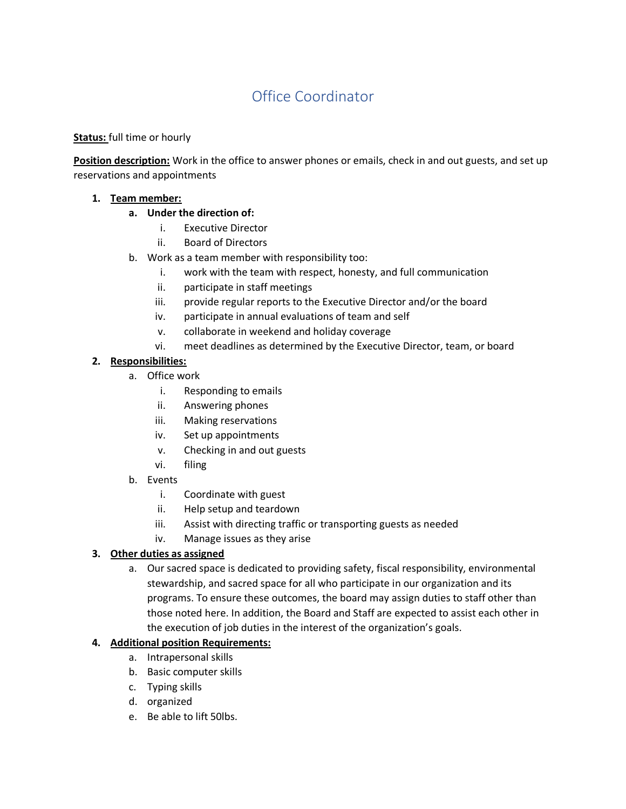# Office Coordinator

### **Status:** full time or hourly

**Position description:** Work in the office to answer phones or emails, check in and out guests, and set up reservations and appointments

#### **1. Team member:**

- **a. Under the direction of:**
	- i. Executive Director
	- ii. Board of Directors
- b. Work as a team member with responsibility too:
	- i. work with the team with respect, honesty, and full communication
	- ii. participate in staff meetings
	- iii. provide regular reports to the Executive Director and/or the board
	- iv. participate in annual evaluations of team and self
	- v. collaborate in weekend and holiday coverage
	- vi. meet deadlines as determined by the Executive Director, team, or board

#### **2. Responsibilities:**

- a. Office work
	- i. Responding to emails
	- ii. Answering phones
	- iii. Making reservations
	- iv. Set up appointments
	- v. Checking in and out guests
	- vi. filing
- b. Events
	- i. Coordinate with guest
	- ii. Help setup and teardown
	- iii. Assist with directing traffic or transporting guests as needed
	- iv. Manage issues as they arise

## **3. Other duties as assigned**

a. Our sacred space is dedicated to providing safety, fiscal responsibility, environmental stewardship, and sacred space for all who participate in our organization and its programs. To ensure these outcomes, the board may assign duties to staff other than those noted here. In addition, the Board and Staff are expected to assist each other in the execution of job duties in the interest of the organization's goals.

#### **4. Additional position Requirements:**

- a. Intrapersonal skills
- b. Basic computer skills
- c. Typing skills
- d. organized
- e. Be able to lift 50lbs.